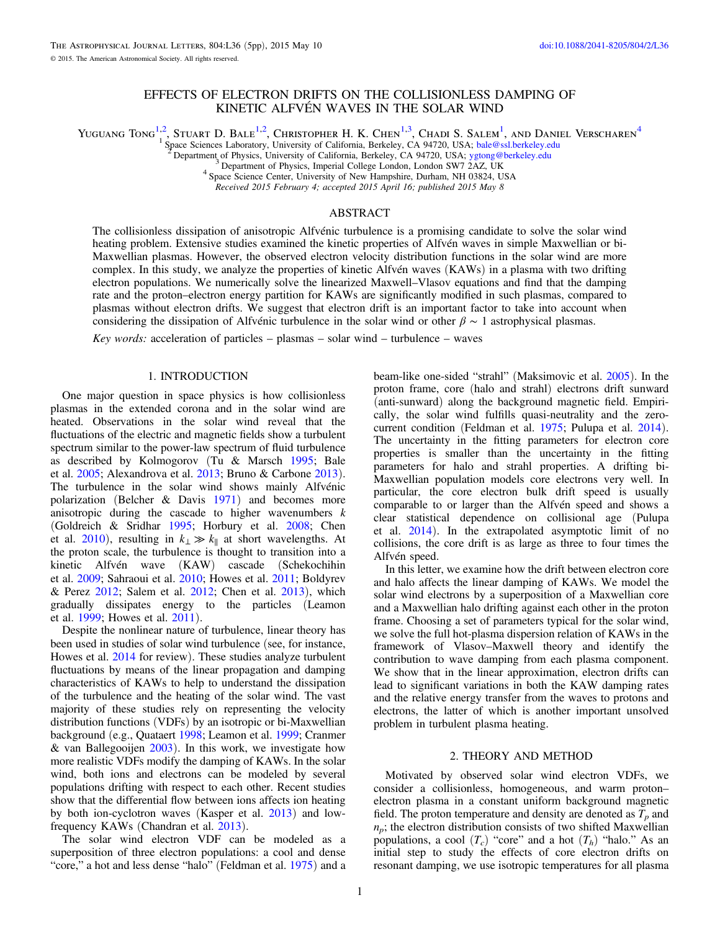# EFFECTS OF ELECTRON DRIFTS ON THE COLLISIONLESS DAMPING OF KINETIC ALFVÉN WAVES IN THE SOLAR WIND

Yuguang Tong<sup>1,2</sup>, Stuart D. Bale<sup>1,2</sup>, Christopher H. K. Chen<sup>1,3</sup>, Chadi S. Salem<sup>1</sup>, and Daniel Verscharen<sup>4</sup>

<sup>1</sup> Space Sciences Laboratory, University of California, Berkeley, CA 94720, USA; [bale@ssl.berkeley.edu](mailto:bale@ssl.berkeley.edu)<br>
<sup>2</sup> Department of Physics, University of California, Berkeley, CA 94720, USA; bale@ssl.berkeley.edu<br>
<sup>3</sup> Department o

4 Space Science Center, University of New Hampshire, Durham, NH 03824, USA<br>Received 2015 February 4; accepted 2015 April 16; published 2015 May 8

### ABSTRACT

The collisionless dissipation of anisotropic Alfvénic turbulence is a promising candidate to solve the solar wind heating problem. Extensive studies examined the kinetic properties of Alfvén waves in simple Maxwellian or bi-Maxwellian plasmas. However, the observed electron velocity distribution functions in the solar wind are more complex. In this study, we analyze the properties of kinetic Alfvén waves (KAWs) in a plasma with two drifting electron populations. We numerically solve the linearized Maxwell–Vlasov equations and find that the damping rate and the proton–electron energy partition for KAWs are significantly modified in such plasmas, compared to plasmas without electron drifts. We suggest that electron drift is an important factor to take into account when considering the dissipation of Alfvénic turbulence in the solar wind or other *β* ∼ 1 astrophysical plasmas.

Key words: acceleration of particles – plasmas – solar wind – turbulence – waves

### 1. INTRODUCTION

One major question in space physics is how collisionless plasmas in the extended corona and in the solar wind are heated. Observations in the solar wind reveal that the fluctuations of the electric and magnetic fields show a turbulent spectrum similar to the power-law spectrum of fluid turbulence as described by Kolmogorov (Tu & Marsch [1995;](#page-4-0) Bale et al. [2005](#page-4-0); Alexandrova et al. [2013](#page-4-0); Bruno & Carbone [2013](#page-4-0)). The turbulence in the solar wind shows mainly Alfvénic polarization (Belcher & Davis [1971](#page-4-0)) and becomes more anisotropic during the cascade to higher wavenumbers  $k$ (Goldreich & Sridhar [1995](#page-4-0); Horbury et al. [2008](#page-4-0); Chen et al. [2010](#page-4-0)), resulting in  $k_{\perp} \gg k_{\parallel}$  at short wavelengths. At the proton scale, the turbulence is thought to transition into a kinetic Alfvén wave (KAW) cascade (Schekochihin et al. [2009;](#page-4-0) Sahraoui et al. [2010](#page-4-0); Howes et al. [2011](#page-4-0); Boldyrev & Perez [2012;](#page-4-0) Salem et al. [2012;](#page-4-0) Chen et al. [2013](#page-4-0)), which gradually dissipates energy to the particles (Leamon et al. [1999](#page-4-0); Howes et al. [2011](#page-4-0)).

Despite the nonlinear nature of turbulence, linear theory has been used in studies of solar wind turbulence (see, for instance, Howes et al. [2014](#page-4-0) for review). These studies analyze turbulent fluctuations by means of the linear propagation and damping characteristics of KAWs to help to understand the dissipation of the turbulence and the heating of the solar wind. The vast majority of these studies rely on representing the velocity distribution functions (VDFs) by an isotropic or bi-Maxwellian background (e.g., Quataert [1998](#page-4-0); Leamon et al. [1999](#page-4-0); Cranmer & van Ballegooijen  $2003$ ). In this work, we investigate how more realistic VDFs modify the damping of KAWs. In the solar wind, both ions and electrons can be modeled by several populations drifting with respect to each other. Recent studies show that the differential flow between ions affects ion heating by both ion-cyclotron waves (Kasper et al. [2013](#page-4-0)) and lowfrequency KAWs (Chandran et al. [2013](#page-4-0)).

The solar wind electron VDF can be modeled as a superposition of three electron populations: a cool and dense "core," a hot and less dense "halo" (Feldman et al. [1975](#page-4-0)) and a

beam-like one-sided "strahl" (Maksimovic et al. [2005](#page-4-0)). In the proton frame, core (halo and strahl) electrons drift sunward (anti-sunward) along the background magnetic field. Empirically, the solar wind fulfills quasi-neutrality and the zerocurrent condition (Feldman et al. [1975](#page-4-0); Pulupa et al. [2014](#page-4-0)). The uncertainty in the fitting parameters for electron core properties is smaller than the uncertainty in the fitting parameters for halo and strahl properties. A drifting bi-Maxwellian population models core electrons very well. In particular, the core electron bulk drift speed is usually comparable to or larger than the Alfvén speed and shows a clear statistical dependence on collisional age (Pulupa et al. [2014](#page-4-0)). In the extrapolated asymptotic limit of no collisions, the core drift is as large as three to four times the Alfvén speed.

In this letter, we examine how the drift between electron core and halo affects the linear damping of KAWs. We model the solar wind electrons by a superposition of a Maxwellian core and a Maxwellian halo drifting against each other in the proton frame. Choosing a set of parameters typical for the solar wind, we solve the full hot-plasma dispersion relation of KAWs in the framework of Vlasov–Maxwell theory and identify the contribution to wave damping from each plasma component. We show that in the linear approximation, electron drifts can lead to significant variations in both the KAW damping rates and the relative energy transfer from the waves to protons and electrons, the latter of which is another important unsolved problem in turbulent plasma heating.

#### 2. THEORY AND METHOD

Motivated by observed solar wind electron VDFs, we consider a collisionless, homogeneous, and warm proton– electron plasma in a constant uniform background magnetic field. The proton temperature and density are denoted as  $T_p$  and  $n_p$ ; the electron distribution consists of two shifted Maxwellian populations, a cool  $(T_c)$  "core" and a hot  $(T_h)$  "halo." As an initial step to study the effects of core electron drifts on resonant damping, we use isotropic temperatures for all plasma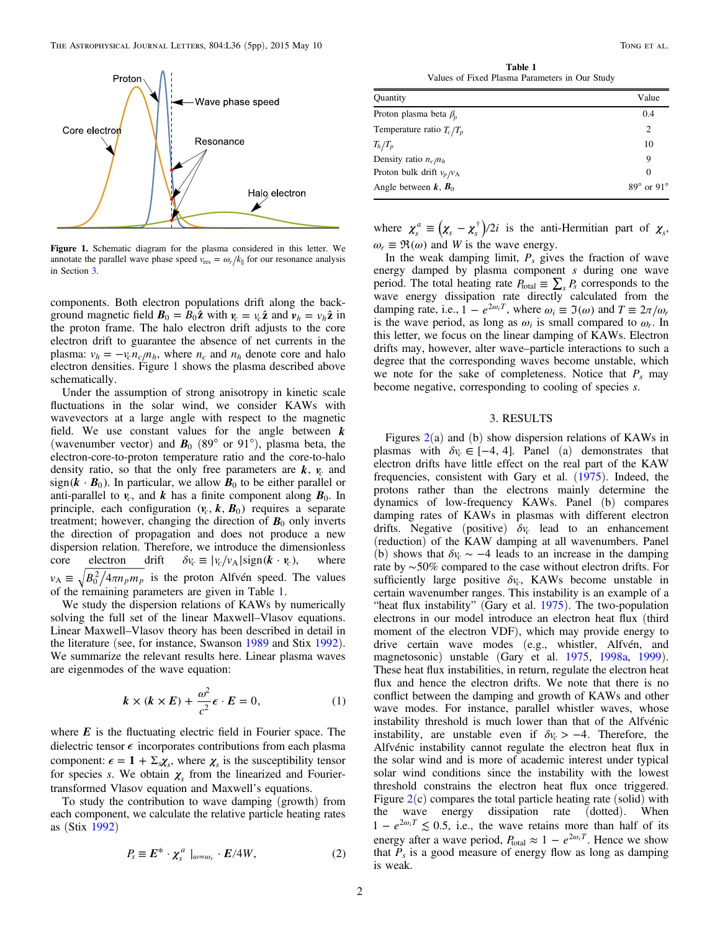<span id="page-1-0"></span>

Figure 1. Schematic diagram for the plasma considered in this letter. We annotate the parallel wave phase speed  $v_{\text{res}} = \omega_r / k_{\parallel}$  for our resonance analysis in Section 3.

components. Both electron populations drift along the background magnetic field  $\mathbf{B}_0 = B_0 \hat{\mathbf{z}}$  with  $v_c = v_c \hat{\mathbf{z}}$  and  $v_h = v_h \hat{\mathbf{z}}$  in the proton frame. The halo electron drift adjusts to the core electron drift to guarantee the absence of net currents in the plasma:  $v_h = -v_c n_c/n_h$ , where  $n_c$  and  $n_h$  denote core and halo electron densities. Figure 1 shows the plasma described above schematically.

Under the assumption of strong anisotropy in kinetic scale fluctuations in the solar wind, we consider KAWs with wavevectors at a large angle with respect to the magnetic field. We use constant values for the angle between *k* (wavenumber vector) and  $\mathbf{B}_0$  (89 $^{\circ}$  or 91 $^{\circ}$ ), plasma beta, the electron-core-to-proton temperature ratio and the core-to-halo density ratio, so that the only free parameters are  $k$ ,  $v_c$  and  $sign(k \cdot B_0)$ . In particular, we allow  $B_0$  to be either parallel or anti-parallel to  $v_c$ , and *k* has a finite component along  $B_0$ . In principle, each configuration  $(v_c, k, B_0)$  requires a separate treatment; however, changing the direction of  $B_0$  only inverts the direction of propagation and does not produce a new dispersion relation. Therefore, we introduce the dimensionless core electron drift  $\delta v_c \equiv |v_c/v_A| \text{sign}(k \cdot v_c)$ , where  $v_A \equiv \sqrt{B_0^2/4\pi n_p m_p}$  is the proton Alfvén speed. The values of the remaining parameters are given in Table 1.

We study the dispersion relations of KAWs by numerically solving the full set of the linear Maxwell–Vlasov equations. Linear Maxwell–Vlasov theory has been described in detail in the literature (see, for instance, Swanson [1989](#page-4-0) and Stix [1992](#page-4-0)). We summarize the relevant results here. Linear plasma waves are eigenmodes of the wave equation:

$$
k \times (k \times E) + \frac{\omega^2}{c^2} \epsilon \cdot E = 0,
$$
 (1)

where *E* is the fluctuating electric field in Fourier space. The dielectric tensor  $\epsilon$  incorporates contributions from each plasma component:  $\epsilon = 1 + \Sigma_s \chi_s$ , where  $\chi_s$  is the susceptibility tensor for species s. We obtain  $\chi$ <sup>*s*</sup> from the linearized and Fouriertransformed Vlasov equation and Maxwell's equations.

To study the contribution to wave damping (growth) from each component, we calculate the relative particle heating rates as (Stix [1992](#page-4-0))

$$
P_s \equiv E^* \cdot \chi_s^a \mid_{\omega = \omega_r} \cdot E/4W, \tag{2}
$$

Table 1 Values of Fixed Plasma Parameters in Our Study

| Quantity                     | Value                    |
|------------------------------|--------------------------|
| Proton plasma beta $\beta_n$ | 0.4                      |
| Temperature ratio $T_c/T_p$  | 2                        |
| $T_h/T_p$                    | 10                       |
| Density ratio $n_c/n_h$      | 9                        |
| Proton bulk drift $v_p/v_A$  | $\Omega$                 |
| Angle between $k$ , $B_0$    | $89^\circ$ or $91^\circ$ |

where  $\chi_s^a \equiv (\chi_s - \chi_s^{\dagger})/2i$  is the anti-Hermitian part of  $\chi_s$ ,  $\omega_r \equiv \Re(\omega)$  and *W* is the wave energy.

In the weak damping limit,  $P_s$  gives the fraction of wave energy damped by plasma component s during one wave period. The total heating rate  $P_{\text{total}} \equiv \sum_{s} P_s$  corresponds to the wave energy dissipation rate directly calculated from the damping rate, i.e.,  $1 - e^{2\omega_i T}$ , where  $\omega_i \equiv \mathfrak{I}(\omega)$  and  $T \equiv 2\pi/\omega_r$ is the wave period, as long as  $\omega_i$  is small compared to  $\omega_r$ . In this letter, we focus on the linear damping of KAWs. Electron drifts may, however, alter wave–particle interactions to such a degree that the corresponding waves become unstable, which we note for the sake of completeness. Notice that  $P_s$  may become negative, corresponding to cooling of species s.

### 3. RESULTS

Figures  $2(a)$  $2(a)$  and (b) show dispersion relations of KAWs in plasmas with  $\delta v_c \in [-4, 4]$ . Panel (a) demonstrates that electron drifts have little effect on the real part of the KAW frequencies, consistent with Gary et al. ([1975](#page-4-0)). Indeed, the protons rather than the electrons mainly determine the dynamics of low-frequency KAWs. Panel (b) compares damping rates of KAWs in plasmas with different electron drifts. Negative (positive)  $\delta v_c$  lead to an enhancement (reduction) of the KAW damping at all wavenumbers. Panel (b) shows that  $\delta v_c \sim -4$  leads to an increase in the damping rate by ∼50% compared to the case without electron drifts. For sufficiently large positive  $\delta v_c$ , KAWs become unstable in certain wavenumber ranges. This instability is an example of a "heat flux instability" (Gary et al.  $1975$ ). The two-population electrons in our model introduce an electron heat flux (third moment of the electron VDF), which may provide energy to drive certain wave modes (e.g., whistler, Alfvén, and magnetosonic) unstable (Gary et al. [1975,](#page-4-0) [1998a,](#page-4-0) [1999](#page-4-0)). These heat flux instabilities, in return, regulate the electron heat flux and hence the electron drifts. We note that there is no conflict between the damping and growth of KAWs and other wave modes. For instance, parallel whistler waves, whose instability threshold is much lower than that of the Alfvénic instability, are unstable even if  $\delta v_c > -4$ . Therefore, the Alfvénic instability cannot regulate the electron heat flux in the solar wind and is more of academic interest under typical solar wind conditions since the instability with the lowest threshold constrains the electron heat flux once triggered. Figure  $2(c)$  $2(c)$  compares the total particle heating rate (solid) with the wave energy dissipation rate (dotted). When  $1 - e^{2\omega_i T} \lesssim 0.5$ , i.e., the wave retains more than half of its energy after a wave period,  $P_{\text{total}} \approx 1 - e^{2\omega_i T}$ . Hence we show that  $P_s$  is a good measure of energy flow as long as damping is weak.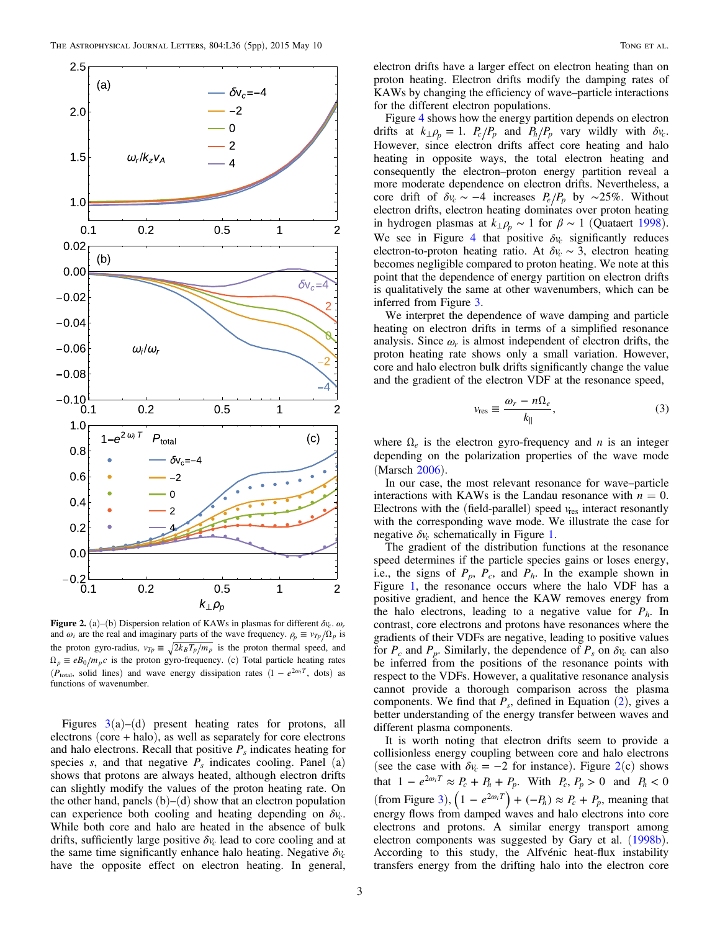<span id="page-2-0"></span>

**Figure 2.** (a)–(b) Dispersion relation of KAWs in plasmas for different  $\delta v_c$ .  $\omega_r$ and  $\omega_i$  are the real and imaginary parts of the wave frequency.  $\rho_p \equiv v_{T_p}/\Omega_p$  is the proton gyro-radius,  $v_{Tp} \equiv \sqrt{2k_B T_p/m_p}$  is the proton thermal speed, and  $\Omega_p \equiv eB_0/m_pc$  is the proton gyro-frequency. (c) Total particle heating rates ( $P_{\text{total}}$ , solid lines) and wave energy dissipation rates  $(1 - e^{2\omega_i T}, \text{dots})$  as functions of wavenumber.

Figures  $3(a)$  $3(a)$ – $(d)$  present heating rates for protons, all electrons (core + halo), as well as separately for core electrons and halo electrons. Recall that positive  $P_s$  indicates heating for species s, and that negative  $\overline{P}_s$  indicates cooling. Panel (a) shows that protons are always heated, although electron drifts can slightly modify the values of the proton heating rate. On the other hand, panels  $(b)$ – $(d)$  show that an electron population can experience both cooling and heating depending on *δvc*. While both core and halo are heated in the absence of bulk drifts, sufficiently large positive  $\delta v_c$  lead to core cooling and at the same time significantly enhance halo heating. Negative  $\delta v_c$ have the opposite effect on electron heating. In general,

electron drifts have a larger effect on electron heating than on proton heating. Electron drifts modify the damping rates of KAWs by changing the efficiency of wave–particle interactions for the different electron populations.

Figure [4](#page-3-0) shows how the energy partition depends on electron drifts at  $k_{\perp} \rho_p = 1$ .  $P_c/P_p$  and  $P_h/P_p$  vary wildly with  $\delta v_c$ . However, since electron drifts affect core heating and halo heating in opposite ways, the total electron heating and consequently the electron–proton energy partition reveal a more moderate dependence on electron drifts. Nevertheless, a core drift of  $\delta v_c \sim -4$  increases  $P_e/P_p$  by ~25%. Without electron drifts, electron heating dominates over proton heating in hydrogen plasmas at  $k_{\perp}$  $\rho_p \sim 1$  for  $\beta \sim 1$  (Quataert [1998](#page-4-0)). We see in Figure [4](#page-3-0) that positive  $\delta v_c$  significantly reduces electron-to-proton heating ratio. At  $\delta v_c \sim 3$ , electron heating becomes negligible compared to proton heating. We note at this point that the dependence of energy partition on electron drifts is qualitatively the same at other wavenumbers, which can be inferred from Figure [3.](#page-3-0)

We interpret the dependence of wave damping and particle heating on electron drifts in terms of a simplified resonance analysis. Since  $\omega_r$  is almost independent of electron drifts, the proton heating rate shows only a small variation. However, core and halo electron bulk drifts significantly change the value and the gradient of the electron VDF at the resonance speed,

$$
v_{\rm res} \equiv \frac{\omega_r - n\Omega_e}{k_{\parallel}},\tag{3}
$$

where  $\Omega_e$  is the electron gyro-frequency and *n* is an integer depending on the polarization properties of the wave mode (Marsch [2006](#page-4-0)).

In our case, the most relevant resonance for wave–particle interactions with KAWs is the Landau resonance with  $n = 0$ . Electrons with the (field-parallel) speed  $v_{res}$  interact resonantly with the corresponding wave mode. We illustrate the case for negative  $\delta v_c$  schematically in Figure [1](#page-1-0).

The gradient of the distribution functions at the resonance speed determines if the particle species gains or loses energy, i.e., the signs of  $P_p$ ,  $P_c$ , and  $P_h$ . In the example shown in Figure [1,](#page-1-0) the resonance occurs where the halo VDF has a positive gradient, and hence the KAW removes energy from the halo electrons, leading to a negative value for  $P_h$ . In contrast, core electrons and protons have resonances where the gradients of their VDFs are negative, leading to positive values for  $P_c$  and  $P_p$ . Similarly, the dependence of  $P_s$  on  $\delta v_c$  can also be inferred from the positions of the resonance points with respect to the VDFs. However, a qualitative resonance analysis cannot provide a thorough comparison across the plasma components. We find that  $P_s$ , defined in Equation ([2](#page-1-0)), gives a better understanding of the energy transfer between waves and different plasma components.

It is worth noting that electron drifts seem to provide a collisionless energy coupling between core and halo electrons (see the case with  $\delta v_c = -2$  for instance). Figure  $2(c)$  shows that  $1 - e^{2\omega_i T} \approx P_c + P_h + P_p$ . With  $P_c, P_p > 0$  and  $P_h < 0$ (from Figure [3](#page-3-0)),  $\left(1 - e^{2\omega_i T}\right) + \left(-P_h\right) \approx P_c + P_p$ , meaning that energy flows from damped waves and halo electrons into core electrons and protons. A similar energy transport among electron components was suggested by Gary et al. ([1998b](#page-4-0)). According to this study, the Alfvénic heat-flux instability transfers energy from the drifting halo into the electron core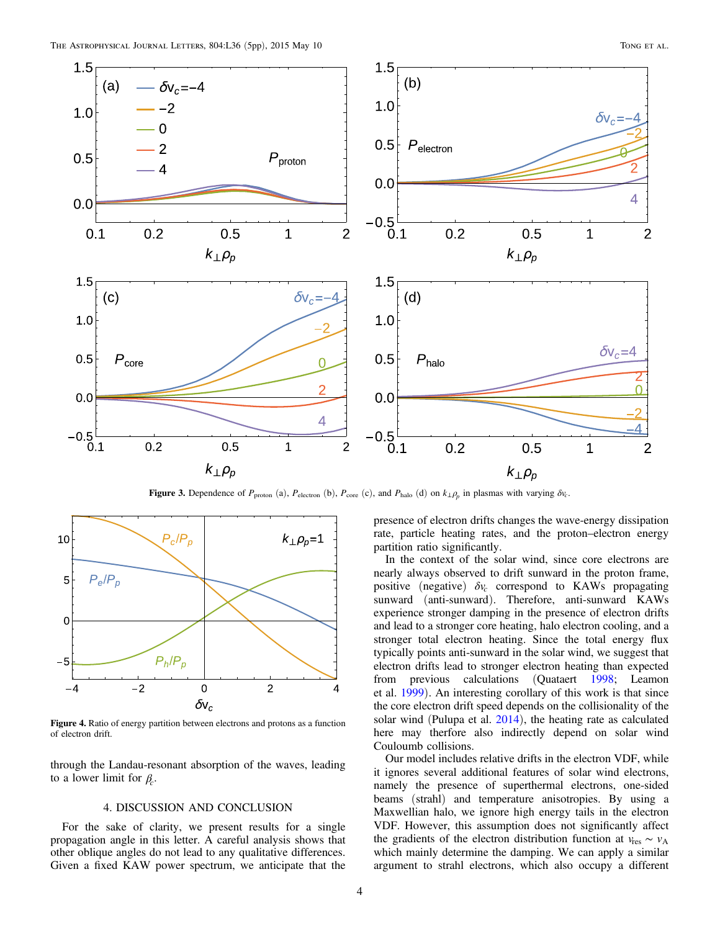<span id="page-3-0"></span>

Figure 3. Dependence of  $P_{\text{proton}}$  (a),  $P_{\text{electron}}$  (b),  $P_{\text{core}}$  (c), and  $P_{\text{halo}}$  (d) on  $k_{\perp} \rho_p$  in plasmas with varying  $\delta v_c$ .



Figure 4. Ratio of energy partition between electrons and protons as a function of electron drift.

through the Landau-resonant absorption of the waves, leading to a lower limit for *βc*.

## 4. DISCUSSION AND CONCLUSION

For the sake of clarity, we present results for a single propagation angle in this letter. A careful analysis shows that other oblique angles do not lead to any qualitative differences. Given a fixed KAW power spectrum, we anticipate that the

presence of electron drifts changes the wave-energy dissipation rate, particle heating rates, and the proton–electron energy partition ratio significantly.

In the context of the solar wind, since core electrons are nearly always observed to drift sunward in the proton frame, positive (negative)  $\delta v_c$  correspond to KAWs propagating sunward (anti-sunward). Therefore, anti-sunward KAWs experience stronger damping in the presence of electron drifts and lead to a stronger core heating, halo electron cooling, and a stronger total electron heating. Since the total energy flux typically points anti-sunward in the solar wind, we suggest that electron drifts lead to stronger electron heating than expected from previous calculations (Quataert [1998](#page-4-0); Leamon et al. [1999](#page-4-0)). An interesting corollary of this work is that since the core electron drift speed depends on the collisionality of the solar wind (Pulupa et al. [2014](#page-4-0)), the heating rate as calculated here may therfore also indirectly depend on solar wind Couloumb collisions.

Our model includes relative drifts in the electron VDF, while it ignores several additional features of solar wind electrons, namely the presence of superthermal electrons, one-sided beams (strahl) and temperature anisotropies. By using a Maxwellian halo, we ignore high energy tails in the electron VDF. However, this assumption does not significantly affect the gradients of the electron distribution function at  $v_{\text{res}} \sim v_A$ which mainly determine the damping. We can apply a similar argument to strahl electrons, which also occupy a different